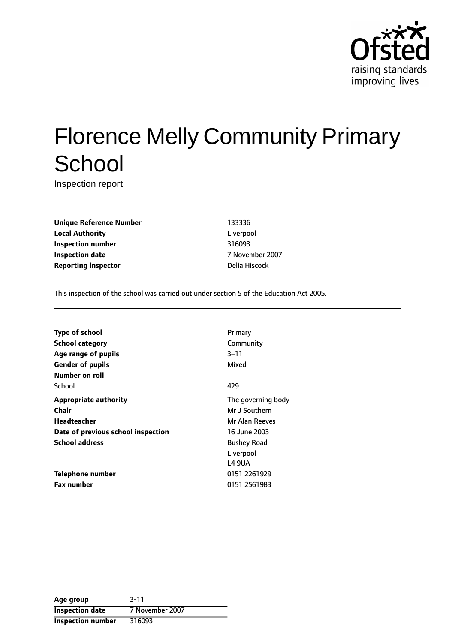

# Florence Melly Community Primary **School**

Inspection report

**Unique Reference Number** 133336 **Local Authority** Liverpool **Inspection number** 316093 **Inspection date** 7 November 2007 **Reporting inspector Delia Hiscock** 

This inspection of the school was carried out under section 5 of the Education Act 2005.

| <b>Type of school</b>              | Primary               |
|------------------------------------|-----------------------|
| <b>School category</b>             | Community             |
| Age range of pupils                | $3 - 11$              |
| <b>Gender of pupils</b>            | Mixed                 |
| Number on roll                     |                       |
| School                             | 429                   |
| <b>Appropriate authority</b>       | The governing body    |
| Chair                              | Mr J Southern         |
| Headteacher                        | <b>Mr Alan Reeves</b> |
| Date of previous school inspection | 16 June 2003          |
| <b>School address</b>              | <b>Bushey Road</b>    |
|                                    | Liverpool             |
|                                    | L4 9UA                |
| Telephone number                   | 0151 2261929          |
| <b>Fax number</b>                  | 0151 2561983          |

| Age group                | $3 - 11$        |
|--------------------------|-----------------|
| <b>Inspection date</b>   | 7 November 2007 |
| <b>Inspection number</b> | 316093          |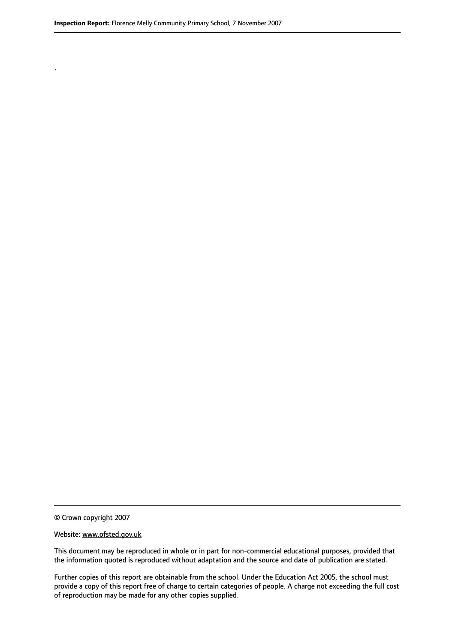.

© Crown copyright 2007

#### Website: www.ofsted.gov.uk

This document may be reproduced in whole or in part for non-commercial educational purposes, provided that the information quoted is reproduced without adaptation and the source and date of publication are stated.

Further copies of this report are obtainable from the school. Under the Education Act 2005, the school must provide a copy of this report free of charge to certain categories of people. A charge not exceeding the full cost of reproduction may be made for any other copies supplied.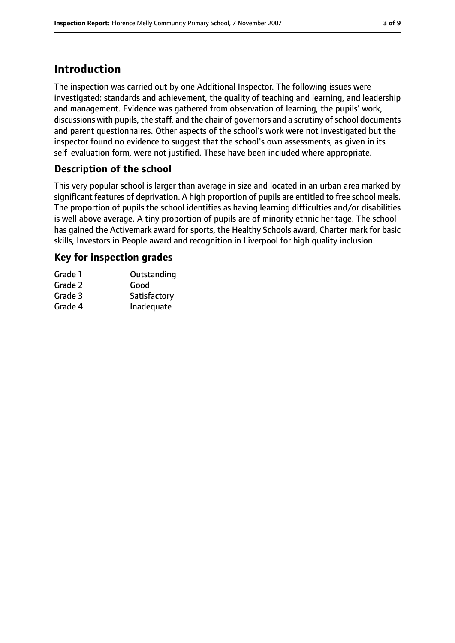## **Introduction**

The inspection was carried out by one Additional Inspector. The following issues were investigated: standards and achievement, the quality of teaching and learning, and leadership and management. Evidence was gathered from observation of learning, the pupils' work, discussions with pupils, the staff, and the chair of governors and a scrutiny of school documents and parent questionnaires. Other aspects of the school's work were not investigated but the inspector found no evidence to suggest that the school's own assessments, as given in its self-evaluation form, were not justified. These have been included where appropriate.

#### **Description of the school**

This very popular school is larger than average in size and located in an urban area marked by significant features of deprivation. A high proportion of pupils are entitled to free school meals. The proportion of pupils the school identifies as having learning difficulties and/or disabilities is well above average. A tiny proportion of pupils are of minority ethnic heritage. The school has gained the Activemark award for sports, the Healthy Schools award, Charter mark for basic skills, Investors in People award and recognition in Liverpool for high quality inclusion.

#### **Key for inspection grades**

| Grade 1 | Outstanding  |
|---------|--------------|
| Grade 2 | Good         |
| Grade 3 | Satisfactory |
| Grade 4 | Inadequate   |
|         |              |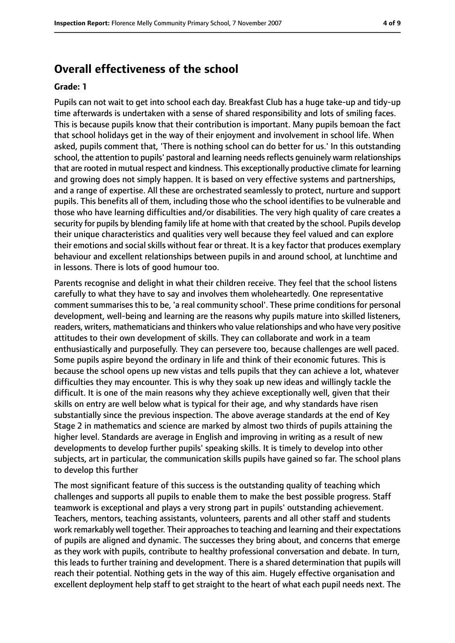## **Overall effectiveness of the school**

#### **Grade: 1**

Pupils can not wait to get into school each day. Breakfast Club has a huge take-up and tidy-up time afterwards is undertaken with a sense of shared responsibility and lots of smiling faces. This is because pupils know that their contribution is important. Many pupils bemoan the fact that school holidays get in the way of their enjoyment and involvement in school life. When asked, pupils comment that, 'There is nothing school can do better for us.' In this outstanding school, the attention to pupils' pastoral and learning needs reflects genuinely warm relationships that are rooted in mutual respect and kindness. This exceptionally productive climate for learning and growing does not simply happen. It is based on very effective systems and partnerships, and a range of expertise. All these are orchestrated seamlessly to protect, nurture and support pupils. This benefits all of them, including those who the school identifies to be vulnerable and those who have learning difficulties and/or disabilities. The very high quality of care creates a security for pupils by blending family life at home with that created by the school. Pupils develop their unique characteristics and qualities very well because they feel valued and can explore their emotions and social skills without fear or threat. It is a key factor that produces exemplary behaviour and excellent relationships between pupils in and around school, at lunchtime and in lessons. There is lots of good humour too.

Parents recognise and delight in what their children receive. They feel that the school listens carefully to what they have to say and involves them wholeheartedly. One representative comment summarises this to be, 'a real community school'. These prime conditions for personal development, well-being and learning are the reasons why pupils mature into skilled listeners, readers, writers, mathematicians and thinkers who value relationships and who have very positive attitudes to their own development of skills. They can collaborate and work in a team enthusiastically and purposefully. They can persevere too, because challenges are well paced. Some pupils aspire beyond the ordinary in life and think of their economic futures. This is because the school opens up new vistas and tells pupils that they can achieve a lot, whatever difficulties they may encounter. This is why they soak up new ideas and willingly tackle the difficult. It is one of the main reasons why they achieve exceptionally well, given that their skills on entry are well below what is typical for their age, and why standards have risen substantially since the previous inspection. The above average standards at the end of Key Stage 2 in mathematics and science are marked by almost two thirds of pupils attaining the higher level. Standards are average in English and improving in writing as a result of new developments to develop further pupils' speaking skills. It is timely to develop into other subjects, art in particular, the communication skills pupils have gained so far. The school plans to develop this further

The most significant feature of this success is the outstanding quality of teaching which challenges and supports all pupils to enable them to make the best possible progress. Staff teamwork is exceptional and plays a very strong part in pupils' outstanding achievement. Teachers, mentors, teaching assistants, volunteers, parents and all other staff and students work remarkably well together. Their approaches to teaching and learning and their expectations of pupils are aligned and dynamic. The successes they bring about, and concerns that emerge as they work with pupils, contribute to healthy professional conversation and debate. In turn, this leads to further training and development. There is a shared determination that pupils will reach their potential. Nothing gets in the way of this aim. Hugely effective organisation and excellent deployment help staff to get straight to the heart of what each pupil needs next. The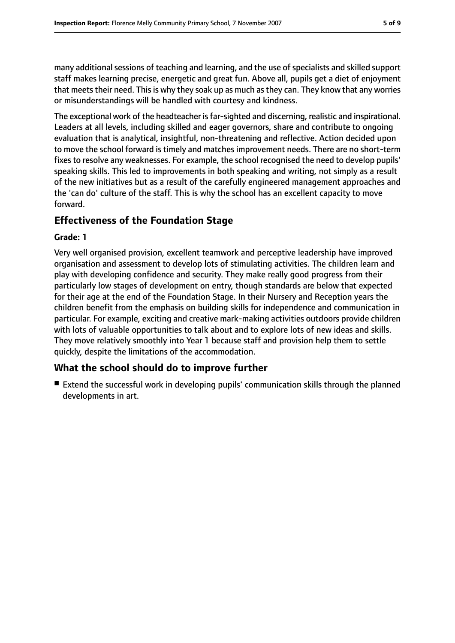many additional sessions of teaching and learning, and the use of specialists and skilled support staff makes learning precise, energetic and great fun. Above all, pupils get a diet of enjoyment that meets their need. This is why they soak up as much as they can. They know that any worries or misunderstandings will be handled with courtesy and kindness.

The exceptional work of the headteacher is far-sighted and discerning, realistic and inspirational. Leaders at all levels, including skilled and eager governors, share and contribute to ongoing evaluation that is analytical, insightful, non-threatening and reflective. Action decided upon to move the school forward is timely and matches improvement needs. There are no short-term fixes to resolve any weaknesses. For example, the school recognised the need to develop pupils' speaking skills. This led to improvements in both speaking and writing, not simply as a result of the new initiatives but as a result of the carefully engineered management approaches and the 'can do' culture of the staff. This is why the school has an excellent capacity to move forward.

#### **Effectiveness of the Foundation Stage**

#### **Grade: 1**

Very well organised provision, excellent teamwork and perceptive leadership have improved organisation and assessment to develop lots of stimulating activities. The children learn and play with developing confidence and security. They make really good progress from their particularly low stages of development on entry, though standards are below that expected for their age at the end of the Foundation Stage. In their Nursery and Reception years the children benefit from the emphasis on building skills for independence and communication in particular. For example, exciting and creative mark-making activities outdoors provide children with lots of valuable opportunities to talk about and to explore lots of new ideas and skills. They move relatively smoothly into Year 1 because staff and provision help them to settle quickly, despite the limitations of the accommodation.

#### **What the school should do to improve further**

■ Extend the successful work in developing pupils' communication skills through the planned developments in art.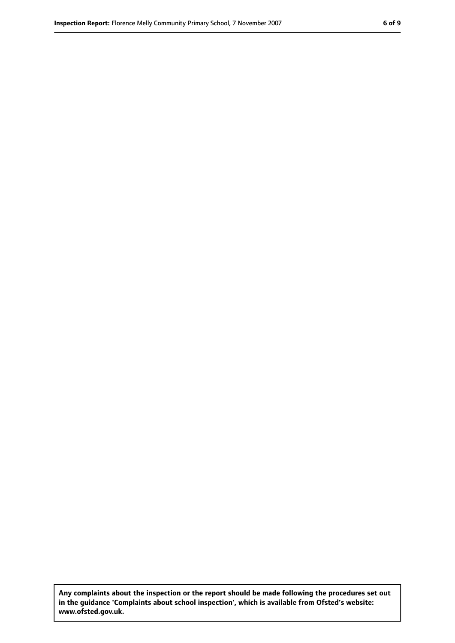**Any complaints about the inspection or the report should be made following the procedures set out in the guidance 'Complaints about school inspection', which is available from Ofsted's website: www.ofsted.gov.uk.**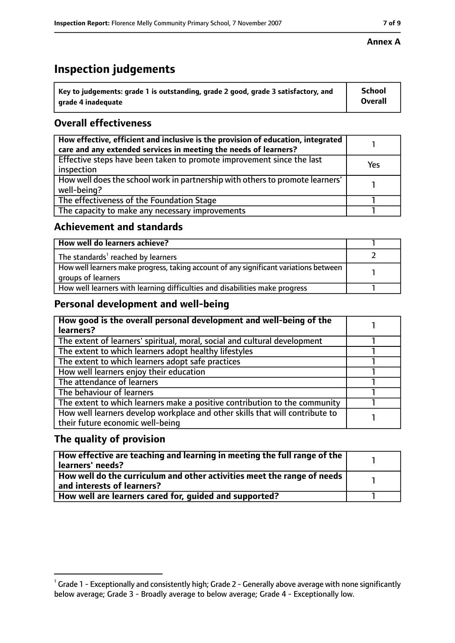## **Inspection judgements**

| $^{\backprime}$ Key to judgements: grade 1 is outstanding, grade 2 good, grade 3 satisfactory, and | <b>School</b>  |
|----------------------------------------------------------------------------------------------------|----------------|
| arade 4 inadequate                                                                                 | <b>Overall</b> |

### **Overall effectiveness**

| How effective, efficient and inclusive is the provision of education, integrated<br>care and any extended services in meeting the needs of learners? |     |
|------------------------------------------------------------------------------------------------------------------------------------------------------|-----|
| Effective steps have been taken to promote improvement since the last<br>inspection                                                                  | Yes |
| How well does the school work in partnership with others to promote learners'<br>well-being?                                                         |     |
| The effectiveness of the Foundation Stage                                                                                                            |     |
| The capacity to make any necessary improvements                                                                                                      |     |

#### **Achievement and standards**

| How well do learners achieve?                                                                               |  |
|-------------------------------------------------------------------------------------------------------------|--|
| The standards <sup>1</sup> reached by learners                                                              |  |
| How well learners make progress, taking account of any significant variations between<br>groups of learners |  |
| How well learners with learning difficulties and disabilities make progress                                 |  |

#### **Personal development and well-being**

| How good is the overall personal development and well-being of the<br>learners?                                  |  |
|------------------------------------------------------------------------------------------------------------------|--|
| The extent of learners' spiritual, moral, social and cultural development                                        |  |
| The extent to which learners adopt healthy lifestyles                                                            |  |
| The extent to which learners adopt safe practices                                                                |  |
| How well learners enjoy their education                                                                          |  |
| The attendance of learners                                                                                       |  |
| The behaviour of learners                                                                                        |  |
| The extent to which learners make a positive contribution to the community                                       |  |
| How well learners develop workplace and other skills that will contribute to<br>their future economic well-being |  |

#### **The quality of provision**

| How effective are teaching and learning in meeting the full range of the<br>learners' needs?          |  |
|-------------------------------------------------------------------------------------------------------|--|
| How well do the curriculum and other activities meet the range of needs<br>and interests of learners? |  |
| How well are learners cared for, quided and supported?                                                |  |

#### **Annex A**

 $^1$  Grade 1 - Exceptionally and consistently high; Grade 2 - Generally above average with none significantly below average; Grade 3 - Broadly average to below average; Grade 4 - Exceptionally low.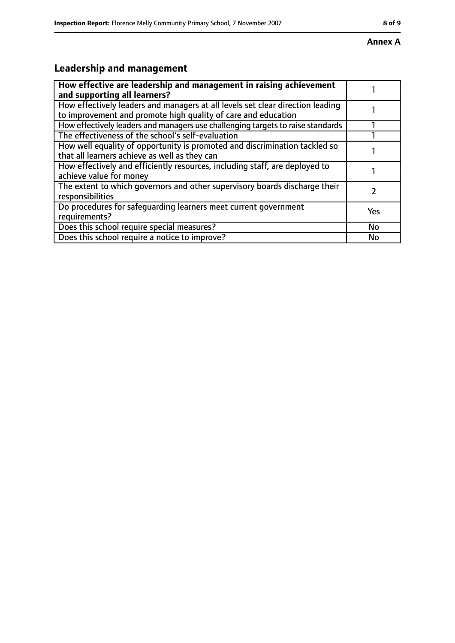# **Leadership and management**

| How effective are leadership and management in raising achievement<br>and supporting all learners?                                              |     |
|-------------------------------------------------------------------------------------------------------------------------------------------------|-----|
| How effectively leaders and managers at all levels set clear direction leading<br>to improvement and promote high quality of care and education |     |
| How effectively leaders and managers use challenging targets to raise standards                                                                 |     |
| The effectiveness of the school's self-evaluation                                                                                               |     |
| How well equality of opportunity is promoted and discrimination tackled so<br>that all learners achieve as well as they can                     |     |
| How effectively and efficiently resources, including staff, are deployed to<br>achieve value for money                                          |     |
| The extent to which governors and other supervisory boards discharge their<br>responsibilities                                                  |     |
| Do procedures for safequarding learners meet current government<br>requirements?                                                                | Yes |
| Does this school require special measures?                                                                                                      | No  |
| Does this school require a notice to improve?                                                                                                   | No  |